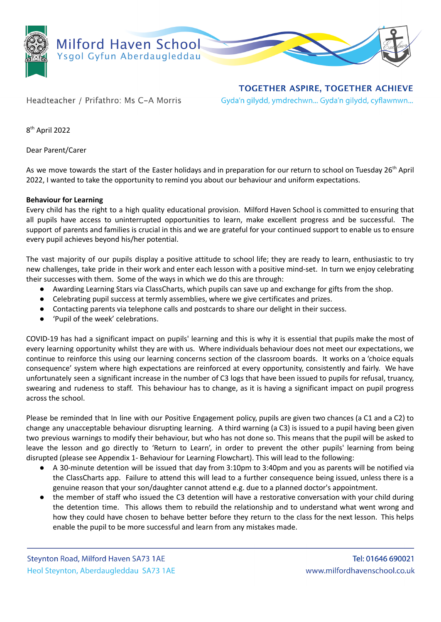

**TOGETHER ASPIRE, TOGETHER ACHIEVE** Gyda'n gilydd, ymdrechwn... Gyda'n gilydd, cyflawnwn...

Headteacher / Prifathro: Ms C-A Morris

8 th April 2022

Dear Parent/Carer

As we move towards the start of the Easter holidays and in preparation for our return to school on Tuesday 26<sup>th</sup> April 2022, I wanted to take the opportunity to remind you about our behaviour and uniform expectations.

## **Behaviour for Learning**

Every child has the right to a high quality educational provision. Milford Haven School is committed to ensuring that all pupils have access to uninterrupted opportunities to learn, make excellent progress and be successful. The support of parents and families is crucial in this and we are grateful for your continued support to enable us to ensure every pupil achieves beyond his/her potential.

The vast majority of our pupils display a positive attitude to school life; they are ready to learn, enthusiastic to try new challenges, take pride in their work and enter each lesson with a positive mind-set. In turn we enjoy celebrating their successes with them. Some of the ways in which we do this are through:

- Awarding Learning Stars via ClassCharts, which pupils can save up and exchange for gifts from the shop.
- Celebrating pupil success at termly assemblies, where we give certificates and prizes.
- Contacting parents via telephone calls and postcards to share our delight in their success.
- 'Pupil of the week' celebrations.

COVID-19 has had a significant impact on pupils' learning and this is why it is essential that pupils make the most of every learning opportunity whilst they are with us. Where individuals behaviour does not meet our expectations, we continue to reinforce this using our learning concerns section of the classroom boards. It works on a 'choice equals consequence' system where high expectations are reinforced at every opportunity, consistently and fairly. We have unfortunately seen a significant increase in the number of C3 logs that have been issued to pupils for refusal, truancy, swearing and rudeness to staff. This behaviour has to change, as it is having a significant impact on pupil progress across the school.

Please be reminded that In line with our Positive Engagement policy, pupils are given two chances (a C1 and a C2) to change any unacceptable behaviour disrupting learning. A third warning (a C3) is issued to a pupil having been given two previous warnings to modify their behaviour, but who has not done so. This means that the pupil will be asked to leave the lesson and go directly to 'Return to Learn', in order to prevent the other pupils' learning from being disrupted (please see Appendix 1- Behaviour for Learning Flowchart). This will lead to the following:

- A 30-minute detention will be issued that day from 3:10pm to 3:40pm and you as parents will be notified via the ClassCharts app. Failure to attend this will lead to a further consequence being issued, unless there is a genuine reason that your son/daughter cannot attend e.g. due to a planned doctor's appointment.
- the member of staff who issued the C3 detention will have a restorative conversation with your child during the detention time. This allows them to rebuild the relationship and to understand what went wrong and how they could have chosen to behave better before they return to the class for the next lesson. This helps enable the pupil to be more successful and learn from any mistakes made.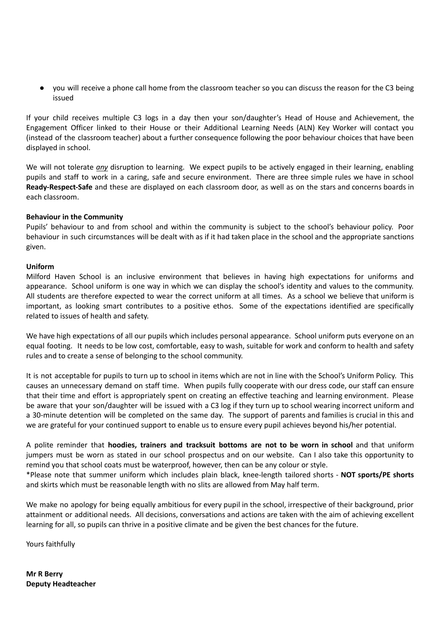● you will receive a phone call home from the classroom teacher so you can discuss the reason for the C3 being issued

If your child receives multiple C3 logs in a day then your son/daughter's Head of House and Achievement, the Engagement Officer linked to their House or their Additional Learning Needs (ALN) Key Worker will contact you (instead of the classroom teacher) about a further consequence following the poor behaviour choices that have been displayed in school.

We will not tolerate *any* disruption to learning. We expect pupils to be actively engaged in their learning, enabling pupils and staff to work in a caring, safe and secure environment. There are three simple rules we have in school **Ready-Respect-Safe** and these are displayed on each classroom door, as well as on the stars and concerns boards in each classroom.

## **Behaviour in the Community**

Pupils' behaviour to and from school and within the community is subject to the school's behaviour policy. Poor behaviour in such circumstances will be dealt with as if it had taken place in the school and the appropriate sanctions given.

## **Uniform**

Milford Haven School is an inclusive environment that believes in having high expectations for uniforms and appearance. School uniform is one way in which we can display the school's identity and values to the community. All students are therefore expected to wear the correct uniform at all times. As a school we believe that uniform is important, as looking smart contributes to a positive ethos. Some of the expectations identified are specifically related to issues of health and safety.

We have high expectations of all our pupils which includes personal appearance. School uniform puts everyone on an equal footing. It needs to be low cost, comfortable, easy to wash, suitable for work and conform to health and safety rules and to create a sense of belonging to the school community.

It is not acceptable for pupils to turn up to school in items which are not in line with the School's Uniform Policy. This causes an unnecessary demand on staff time. When pupils fully cooperate with our dress code, our staff can ensure that their time and effort is appropriately spent on creating an effective teaching and learning environment. Please be aware that your son/daughter will be issued with a C3 log if they turn up to school wearing incorrect uniform and a 30-minute detention will be completed on the same day. The support of parents and families is crucial in this and we are grateful for your continued support to enable us to ensure every pupil achieves beyond his/her potential.

A polite reminder that **hoodies, trainers and tracksuit bottoms are not to be worn in school** and that uniform jumpers must be worn as stated in our school prospectus and on our website. Can I also take this opportunity to remind you that school coats must be waterproof, however, then can be any colour or style.

\*Please note that summer uniform which includes plain black, knee-length tailored shorts - **NOT sports/PE shorts** and skirts which must be reasonable length with no slits are allowed from May half term.

We make no apology for being equally ambitious for every pupil in the school, irrespective of their background, prior attainment or additional needs. All decisions, conversations and actions are taken with the aim of achieving excellent learning for all, so pupils can thrive in a positive climate and be given the best chances for the future.

Yours faithfully

**Mr R Berry Deputy Headteacher**